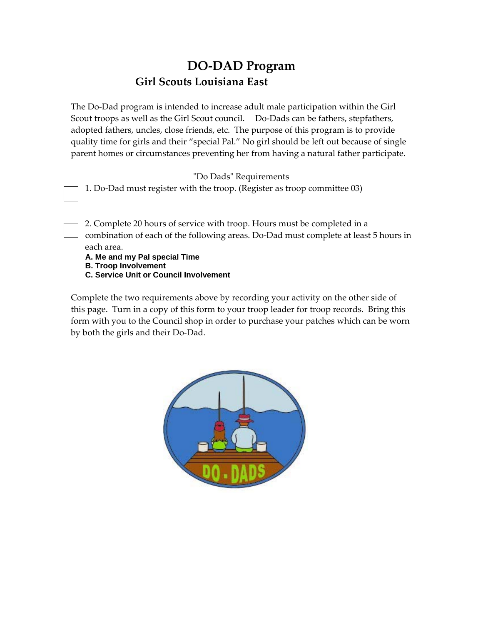## **DO‐DAD Program Girl Scouts Louisiana East**

The Do‐Dad program is intended to increase adult male participation within the Girl Scout troops as well as the Girl Scout council. Do-Dads can be fathers, stepfathers, adopted fathers, uncles, close friends, etc. The purpose of this program is to provide quality time for girls and their "special Pal." No girl should be left out because of single parent homes or circumstances preventing her from having a natural father participate.

ʺDo Dadsʺ Requirements

1. Do‐Dad must register with the troop. (Register as troop committee 03)

2. Complete 20 hours of service with troop. Hours must be completed in a combination of each of the following areas. Do‐Dad must complete at least 5 hours in each area.

**A. Me and my Pal special Time B. Troop Involvement** 

**C. Service Unit or Council Involvement**

Complete the two requirements above by recording your activity on the other side of this page. Turn in a copy of this form to your troop leader for troop records. Bring this form with you to the Council shop in order to purchase your patches which can be worn by both the girls and their Do‐Dad.